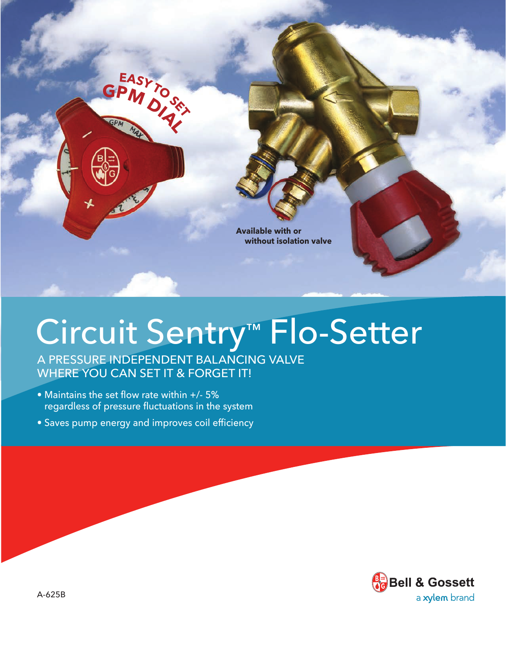

# Circuit Sentry™ Flo-Setter

A PRESSURE INDEPENDENT BALANCING VALVE WHERE YOU CAN SET IT & FORGET IT!

• Maintains the set flow rate within +/- 5% regardless of pressure fluctuations in the system

**GPM D**<sub>A</sub>

EASY TO SEX

• Saves pump energy and improves coil efficiency

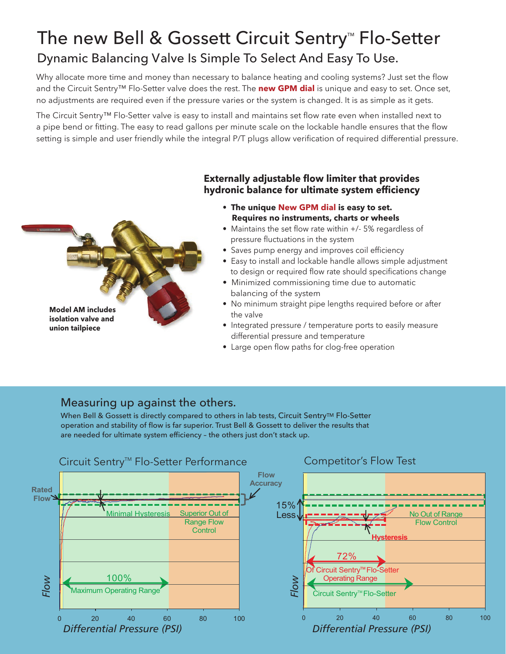### The new Bell & Gossett Circuit Sentry<sup> $M$ </sup> Flo-Setter Dynamic Balancing Valve Is Simple To Select And Easy To Use.

Why allocate more time and money than necessary to balance heating and cooling systems? Just set the flow and the Circuit Sentry™ Flo-Setter valve does the rest. The **new GPM dial** is unique and easy to set. Once set, no adjustments are required even if the pressure varies or the system is changed. It is as simple as it gets.

The Circuit Sentry™ Flo-Setter valve is easy to install and maintains set flow rate even when installed next to a pipe bend or fitting. The easy to read gallons per minute scale on the lockable handle ensures that the flow setting is simple and user friendly while the integral P/T plugs allow verification of required differential pressure.



#### **Externally adjustable flow limiter that provides hydronic balance for ultimate system efficiency**

- **The unique New GPM dial is easy to set. Requires no instruments, charts or wheels**
- Maintains the set flow rate within +/- 5% regardless of pressure fluctuations in the system
- Saves pump energy and improves coil efficiency
- Easy to install and lockable handle allows simple adjustment to design or required flow rate should specifications change
- Minimized commissioning time due to automatic balancing of the system
- No minimum straight pipe lengths required before or after the valve
- Integrated pressure / temperature ports to easily measure differential pressure and temperature
- Large open flow paths for clog-free operation

#### Measuring up against the others.

When Bell & Gossett is directly compared to others in lab tests, Circuit Sentry<sup>TM</sup> Flo-Setter operation and stability of flow is far superior. Trust Bell & Gossett to deliver the results that are needed for ultimate system efficiency – the others just don't stack up.

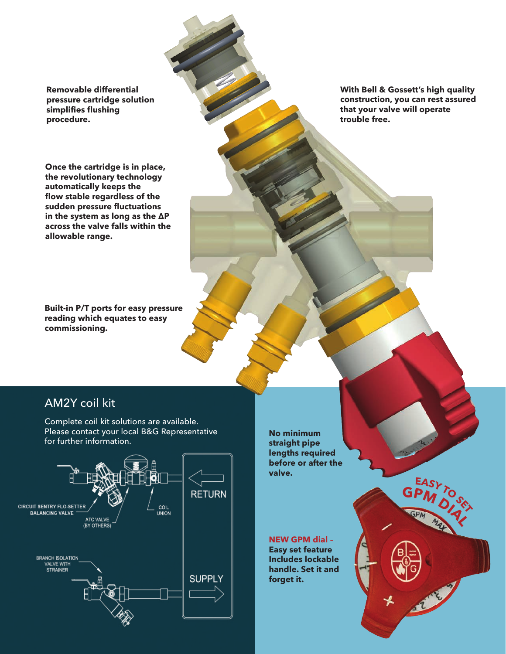**Removable differential pressure cartridge solution simplifies flushing procedure.**

**Once the cartridge is in place, the revolutionary technology automatically keeps the flow stable regardless of the sudden pressure fluctuations in the system as long as the ∆P across the valve falls within the allowable range.**

**Built-in P/T ports for easy pressure reading which equates to easy commissioning.**

**With Bell & Gossett's high quality construction, you can rest assured that your valve will operate trouble free.**

**GPM D**<sub>SE</sub>

**EAS** 

#### AM2Y coil kit

Complete coil kit solutions are available. Please contact your local B&G Representative for further information.



**No minimum straight pipe lengths required before or after the valve.**

**NEW GPM dial – Easy set feature Includes lockable handle. Set it and forget it.**